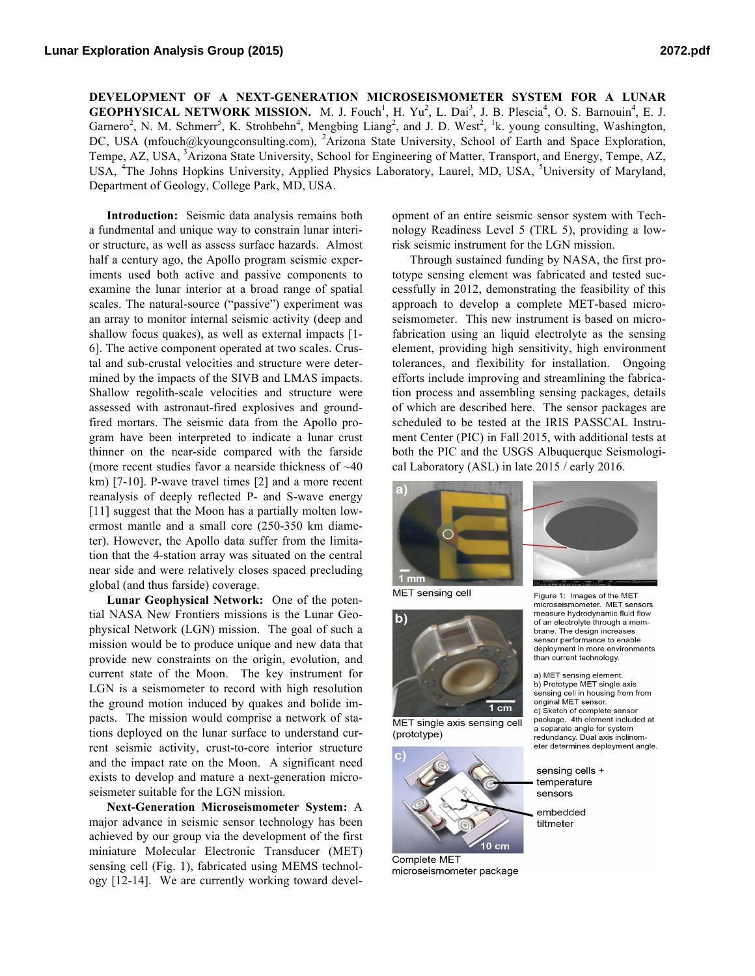**DEVELOPMENT OF A NEXT-GENERATION MICROSEISMOMETER SYSTEM FOR A LUNAR GEOPHYSICAL NETWORK MISSION.** M. J. Fouch<sup>1</sup>, H. Yu<sup>2</sup>, L. Dai<sup>3</sup>, J. B. Plescia<sup>4</sup>, O. S. Barnouin<sup>4</sup>, E. J. Garnero<sup>2</sup>, N. M. Schmerr<sup>5</sup>, K. Strohbehn<sup>4</sup>, Mengbing Liang<sup>2</sup>, and J. D. West<sup>2</sup>, <sup>1</sup>k. young consulting, Washington, DC, USA (mfouch@kyoungconsulting.com), <sup>2</sup>Arizona State University, School of Earth and Space Exploration, Tempe, AZ, USA, <sup>3</sup>Arizona State University, School for Engineering of Matter, Transport, and Energy, Tempe, AZ, USA, <sup>4</sup>The Johns Hopkins University, Applied Physics Laboratory, Laurel, MD, USA, <sup>5</sup>University of Maryland, Department of Geology, College Park, MD, USA.

**Introduction:** Seismic data analysis remains both a fundmental and unique way to constrain lunar interior structure, as well as assess surface hazards. Almost half a century ago, the Apollo program seismic experiments used both active and passive components to examine the lunar interior at a broad range of spatial scales. The natural-source ("passive") experiment was an array to monitor internal seismic activity (deep and shallow focus quakes), as well as external impacts [1- 6]. The active component operated at two scales. Crustal and sub-crustal velocities and structure were determined by the impacts of the SIVB and LMAS impacts. Shallow regolith-scale velocities and structure were assessed with astronaut-fired explosives and groundfired mortars. The seismic data from the Apollo program have been interpreted to indicate a lunar crust thinner on the near-side compared with the farside (more recent studies favor a nearside thickness of ~40 km) [7-10]. P-wave travel times [2] and a more recent reanalysis of deeply reflected P- and S-wave energy [11] suggest that the Moon has a partially molten lowermost mantle and a small core (250-350 km diameter). However, the Apollo data suffer from the limitation that the 4-station array was situated on the central near side and were relatively closes spaced precluding global (and thus farside) coverage.

**Lunar Geophysical Network:** One of the potential NASA New Frontiers missions is the Lunar Geophysical Network (LGN) mission. The goal of such a mission would be to produce unique and new data that provide new constraints on the origin, evolution, and current state of the Moon. The key instrument for LGN is a seismometer to record with high resolution the ground motion induced by quakes and bolide impacts. The mission would comprise a network of stations deployed on the lunar surface to understand current seismic activity, crust-to-core interior structure and the impact rate on the Moon. A significant need exists to develop and mature a next-generation microseismeter suitable for the LGN mission.

**Next-Generation Microseismometer System:** A major advance in seismic sensor technology has been achieved by our group via the development of the first miniature Molecular Electronic Transducer (MET) sensing cell (Fig. 1), fabricated using MEMS technology [12-14]. We are currently working toward development of an entire seismic sensor system with Technology Readiness Level 5 (TRL 5), providing a lowrisk seismic instrument for the LGN mission.

Through sustained funding by NASA, the first prototype sensing element was fabricated and tested successfully in 2012, demonstrating the feasibility of this approach to develop a complete MET-based microseismometer. This new instrument is based on microfabrication using an liquid electrolyte as the sensing element, providing high sensitivity, high environment tolerances, and flexibility for installation. Ongoing efforts include improving and streamlining the fabrication process and assembling sensing packages, details of which are described here. The sensor packages are scheduled to be tested at the IRIS PASSCAL Instrument Center (PIC) in Fall 2015, with additional tests at both the PIC and the USGS Albuquerque Seismological Laboratory (ASL) in late 2015 / early 2016.



MET sensing cell



MET single axis sensing cell (prototype)



Complete MET microseismometer package

Figure 1: Images of the MET microseismometer. MET sensors measure hydrodynamic fluid flow of an electrolyte through a membrane. The design increases sensor performance to enable deployment in more environments than current technology.

a) MET sensing element. b) Prototype MET single axis sensing cell in housing from from original MET sensor. c) Sketch of complete sensor package. 4th element included at a separate angle for system redundancy. Dual axis inclinometer determines deployment angle.

sensing cells + temperature sensors

embedded tiltmeter